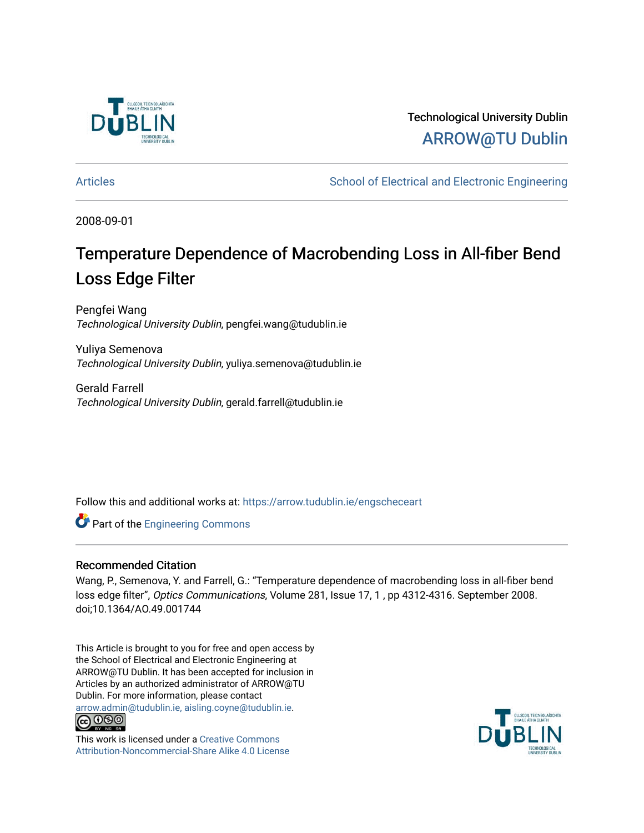

Technological University Dublin [ARROW@TU Dublin](https://arrow.tudublin.ie/) 

[Articles](https://arrow.tudublin.ie/engscheceart) **School of Electrical and Electronic Engineering** School of Electronic Engineering

2008-09-01

## Temperature Dependence of Macrobending Loss in All-fiber Bend Loss Edge Filter

Pengfei Wang Technological University Dublin, pengfei.wang@tudublin.ie

Yuliya Semenova Technological University Dublin, yuliya.semenova@tudublin.ie

Gerald Farrell Technological University Dublin, gerald.farrell@tudublin.ie

Follow this and additional works at: [https://arrow.tudublin.ie/engscheceart](https://arrow.tudublin.ie/engscheceart?utm_source=arrow.tudublin.ie%2Fengscheceart%2F94&utm_medium=PDF&utm_campaign=PDFCoverPages)

**Part of the [Engineering Commons](http://network.bepress.com/hgg/discipline/217?utm_source=arrow.tudublin.ie%2Fengscheceart%2F94&utm_medium=PDF&utm_campaign=PDFCoverPages)** 

#### Recommended Citation

Wang, P., Semenova, Y. and Farrell, G.: "Temperature dependence of macrobending loss in all-fiber bend loss edge filter", Optics Communications, Volume 281, Issue 17, 1, pp 4312-4316. September 2008. doi;10.1364/AO.49.001744

This Article is brought to you for free and open access by the School of Electrical and Electronic Engineering at ARROW@TU Dublin. It has been accepted for inclusion in Articles by an authorized administrator of ARROW@TU Dublin. For more information, please contact [arrow.admin@tudublin.ie, aisling.coyne@tudublin.ie](mailto:arrow.admin@tudublin.ie,%20aisling.coyne@tudublin.ie).



This work is licensed under a [Creative Commons](http://creativecommons.org/licenses/by-nc-sa/4.0/) [Attribution-Noncommercial-Share Alike 4.0 License](http://creativecommons.org/licenses/by-nc-sa/4.0/)

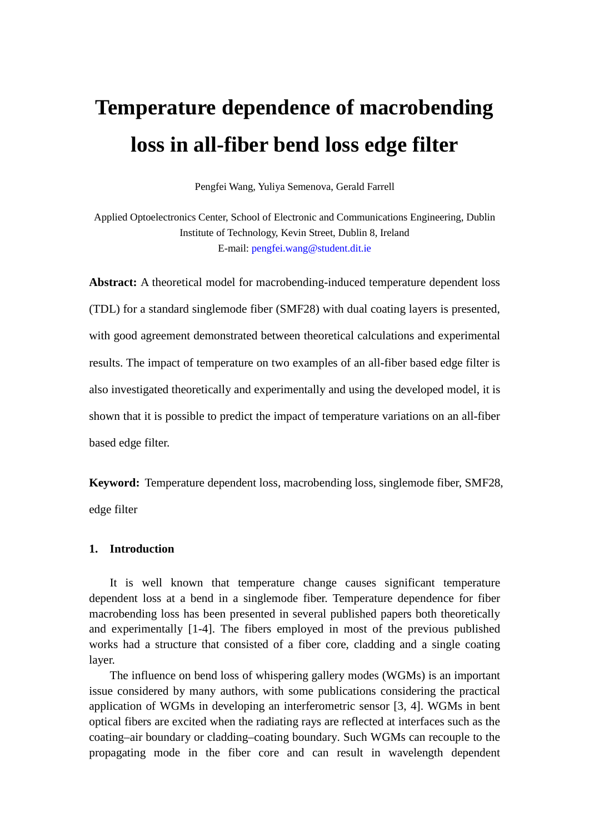# **Temperature dependence of macrobending loss in all-fiber bend loss edge filter**

Pengfei Wang, Yuliya Semenova, Gerald Farrell

Applied Optoelectronics Center, School of Electronic and Communications Engineering, Dublin Institute of Technology, Kevin Street, Dublin 8, Ireland E-mail: pengfei.wang@student.dit.ie

**Abstract:** A theoretical model for macrobending-induced temperature dependent loss (TDL) for a standard singlemode fiber (SMF28) with dual coating layers is presented, with good agreement demonstrated between theoretical calculations and experimental results. The impact of temperature on two examples of an all-fiber based edge filter is also investigated theoretically and experimentally and using the developed model, it is shown that it is possible to predict the impact of temperature variations on an all-fiber based edge filter.

**Keyword:** Temperature dependent loss, macrobending loss, singlemode fiber, SMF28, edge filter

#### **1. Introduction**

It is well known that temperature change causes significant temperature dependent loss at a bend in a singlemode fiber. Temperature dependence for fiber macrobending loss has been presented in several published papers both theoretically and experimentally [1-4]. The fibers employed in most of the previous published works had a structure that consisted of a fiber core, cladding and a single coating layer.

The influence on bend loss of whispering gallery modes (WGMs) is an important issue considered by many authors, with some publications considering the practical application of WGMs in developing an interferometric sensor [3, 4]. WGMs in bent optical fibers are excited when the radiating rays are reflected at interfaces such as the coating–air boundary or cladding–coating boundary. Such WGMs can recouple to the propagating mode in the fiber core and can result in wavelength dependent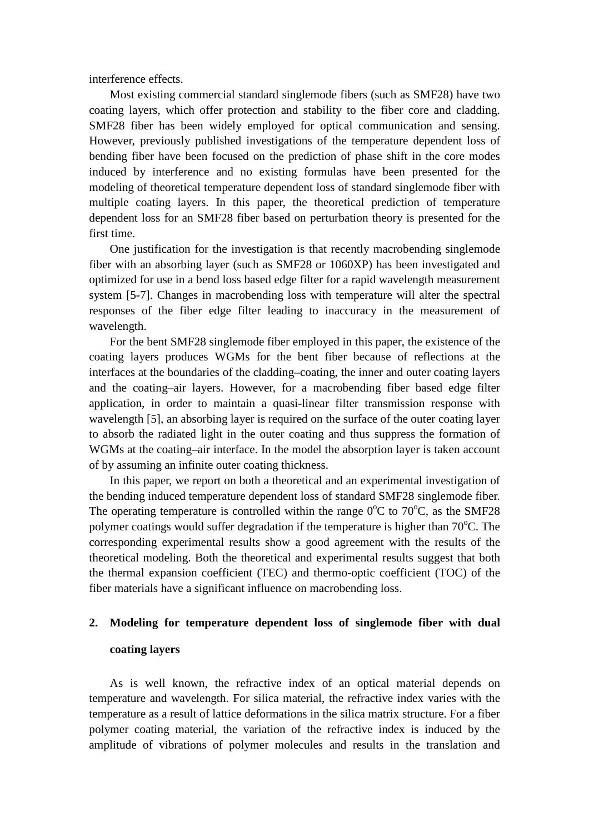interference effects.

Most existing commercial standard singlemode fibers (such as SMF28) have two coating layers, which offer protection and stability to the fiber core and cladding. SMF28 fiber has been widely employed for optical communication and sensing. However, previously published investigations of the temperature dependent loss of bending fiber have been focused on the prediction of phase shift in the core modes induced by interference and no existing formulas have been presented for the modeling of theoretical temperature dependent loss of standard singlemode fiber with multiple coating layers. In this paper, the theoretical prediction of temperature dependent loss for an SMF28 fiber based on perturbation theory is presented for the first time.

One justification for the investigation is that recently macrobending singlemode fiber with an absorbing layer (such as SMF28 or 1060XP) has been investigated and optimized for use in a bend loss based edge filter for a rapid wavelength measurement system [5-7]. Changes in macrobending loss with temperature will alter the spectral responses of the fiber edge filter leading to inaccuracy in the measurement of wavelength.

For the bent SMF28 singlemode fiber employed in this paper, the existence of the coating layers produces WGMs for the bent fiber because of reflections at the interfaces at the boundaries of the cladding–coating, the inner and outer coating layers and the coating–air layers. However, for a macrobending fiber based edge filter application, in order to maintain a quasi-linear filter transmission response with wavelength [5], an absorbing layer is required on the surface of the outer coating layer to absorb the radiated light in the outer coating and thus suppress the formation of WGMs at the coating–air interface. In the model the absorption layer is taken account of by assuming an infinite outer coating thickness.

In this paper, we report on both a theoretical and an experimental investigation of the bending induced temperature dependent loss of standard SMF28 singlemode fiber. The operating temperature is controlled within the range  $0^{\circ}$ C to  $70^{\circ}$ C, as the SMF28 polymer coatings would suffer degradation if the temperature is higher than  $70^{\circ}$ C. The corresponding experimental results show a good agreement with the results of the theoretical modeling. Both the theoretical and experimental results suggest that both the thermal expansion coefficient (TEC) and thermo-optic coefficient (TOC) of the fiber materials have a significant influence on macrobending loss.

### **2. Modeling for temperature dependent loss of singlemode fiber with dual coating layers**

As is well known, the refractive index of an optical material depends on temperature and wavelength. For silica material, the refractive index varies with the temperature as a result of lattice deformations in the silica matrix structure. For a fiber polymer coating material, the variation of the refractive index is induced by the amplitude of vibrations of polymer molecules and results in the translation and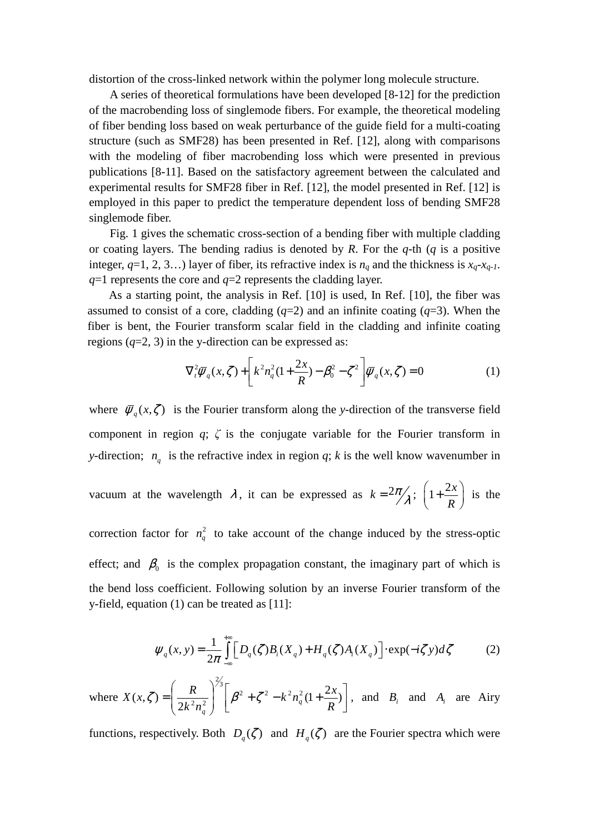distortion of the cross-linked network within the polymer long molecule structure.

A series of theoretical formulations have been developed [8-12] for the prediction of the macrobending loss of singlemode fibers. For example, the theoretical modeling of fiber bending loss based on weak perturbance of the guide field for a multi-coating structure (such as SMF28) has been presented in Ref. [12], along with comparisons with the modeling of fiber macrobending loss which were presented in previous publications [8-11]. Based on the satisfactory agreement between the calculated and experimental results for SMF28 fiber in Ref. [12], the model presented in Ref. [12] is employed in this paper to predict the temperature dependent loss of bending SMF28 singlemode fiber.

Fig. 1 gives the schematic cross-section of a bending fiber with multiple cladding or coating layers. The bending radius is denoted by *R*. For the *q*-th (*q* is a positive integer,  $q=1, 2, 3...$ ) layer of fiber, its refractive index is  $n_q$  and the thickness is  $x_q$ - $x_{q-1}$ . *q*=1 represents the core and *q*=2 represents the cladding layer.

As a starting point, the analysis in Ref. [10] is used, In Ref. [10], the fiber was assumed to consist of a core, cladding  $(q=2)$  and an infinite coating  $(q=3)$ . When the fiber is bent, the Fourier transform scalar field in the cladding and infinite coating regions  $(q=2, 3)$  in the y-direction can be expressed as:

$$
\nabla_t^2 \overline{\psi}_q(x,\zeta) + \left[ k^2 n_q^2 (1 + \frac{2x}{R}) - \beta_0^2 - \zeta^2 \right] \overline{\psi}_q(x,\zeta) = 0 \tag{1}
$$

where  $\overline{\psi}_q(x,\zeta)$  is the Fourier transform along the *y*-direction of the transverse field component in region *q*; *ζ* is the conjugate variable for the Fourier transform in *y*-direction;  $n_q$  is the refractive index in region *q*; *k* is the well know wavenumber in

vacuum at the wavelength 
$$
\lambda
$$
, it can be expressed as  $k = 2\pi/\lambda$ ;  $\left(1 + \frac{2x}{R}\right)$  is the

correction factor for  $n_q^2$  to take account of the change induced by the stress-optic effect; and  $\beta_0$  is the complex propagation constant, the imaginary part of which is the bend loss coefficient. Following solution by an inverse Fourier transform of the y-field, equation (1) can be treated as [11]:

$$
\psi_q(x, y) = \frac{1}{2\pi} \int_{-\infty}^{+\infty} \left[ D_q(\zeta) B_i(X_q) + H_q(\zeta) A_i(X_q) \right] \cdot \exp(-i\zeta y) d\zeta \tag{2}
$$

where  $X(x,\zeta) = \left(\frac{R}{2k^2n_a^2}\right) \left[\beta^2 + \zeta^2 - k^2n_q^2(1 + \frac{2\pi}{R})\right]$ 1 L Γ  $\int \int \beta^2 + \zeta^2 - k^2 n_q^2 (1 +$  $\overline{\phantom{a}}$ J  $\backslash$  $\mathsf{I}$  $\mathsf{I}$  $\setminus$ ſ  $=\left(\frac{R}{2\lambda^{2}-2}\right)^{3}\left(\beta^{2}+\zeta^{2}-k^{2}n_{a}^{2}(1+\frac{2x}{2})\right)$ 2  $(x,\zeta) = \frac{R}{(x^2 - \zeta)^2} \left| \int \beta^2 + \zeta^2 - k^2 n_a^2 \right|$  $\frac{2}{3}$  $\left[2n_a^2\right]$   $\left[2n_a^2\right]$   $\left[2n_a^2\right]$   $\left[2n_a^2\right]$   $\left[2n_a^2\right]$  $k^2 n_a^2 (1 + \frac{2x}{R_a})$  $k^2n$  $X(x,\zeta) = \left(\frac{R}{2L^2}\right)^{3/2} \left(\beta^2 + \zeta^2 - k^2n_q^2\right)$ *q*  $\zeta$ ) =  $\frac{R}{2l^2-1}$   $\left[\beta^2+\zeta^2-k^2n_q^2(1+\frac{2\pi}{R})\right]$ , and  $B_i$  and  $A_i$  are Airy

functions, respectively. Both  $D_q(\zeta)$  and  $H_q(\zeta)$  are the Fourier spectra which were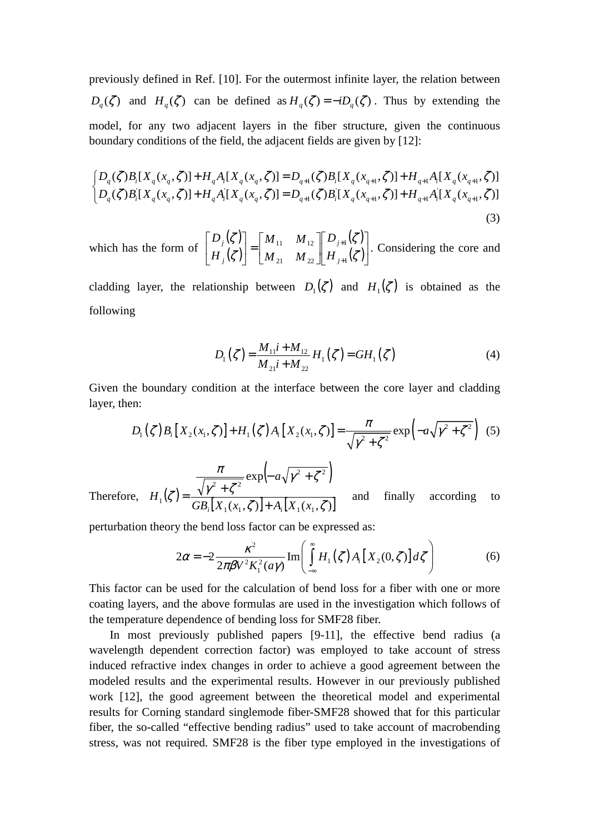previously defined in Ref. [10]. For the outermost infinite layer, the relation between  $D_q(\zeta)$  and  $H_q(\zeta)$  can be defined as  $H_q(\zeta) = -iD_q(\zeta)$ . Thus by extending the model, for any two adjacent layers in the fiber structure, given the continuous boundary conditions of the field, the adjacent fields are given by [12]:

$$
\begin{cases} D_q(\zeta)B_i[X_q(x_q, \zeta)] + H_qA_i[X_q(x_q, \zeta)] = D_{q+1}(\zeta)B_i[X_q(x_{q+1}, \zeta)] + H_{q+1}A_i[X_q(x_{q+1}, \zeta)] \\ D_q(\zeta)B_i[X_q(x_q, \zeta)] + H_qA_i[X_q(x_q, \zeta)] = D_{q+1}(\zeta)B_i[X_q(x_{q+1}, \zeta)] + H_{q+1}A_i[X_q(x_{q+1}, \zeta)] \end{cases} \tag{3}
$$

which has the form of  $(\zeta)$  $(\zeta)$  $(\zeta)$  $\left(\zeta\right)$ ⅂  $\mathbf{r}$ L Г  $\overline{\phantom{a}}$ 」 1  $\mathbf{r}$ L Г  $\Big] =$ J 1 L L Г + + ζ ζ ζ ζ 1 1 21  $\frac{1}{2}$  22  $11$   $12$ *j j j j H D*  $M_{21}$  *M*  $M_{11}$  *M H D* . Considering the core and

cladding layer, the relationship between  $D_1(\zeta)$  and  $H_1(\zeta)$  is obtained as the following

$$
D_1(\zeta) = \frac{M_{11}i + M_{12}}{M_{21}i + M_{22}} H_1(\zeta) = GH_1(\zeta)
$$
 (4)

Given the boundary condition at the interface between the core layer and cladding layer, then:

$$
D_1(\zeta) B_i[X_2(x_1, \zeta)] + H_1(\zeta) A_i[X_2(x_1, \zeta)] = \frac{\pi}{\sqrt{\gamma^2 + \zeta^2}} \exp(-a\sqrt{\gamma^2 + \zeta^2}) \tag{5}
$$

Therefore, 
$$
H_1(\zeta) = \frac{\pi}{GB_i[X_1(x_1,\zeta)] + A_i[X_1(x_1,\zeta)]}
$$
 and finally according to

perturbation theory the bend loss factor can be expressed as:

$$
2\alpha = -2 \frac{\kappa^2}{2\pi \beta V^2 K_1^2(a\gamma)} \operatorname{Im} \left( \int_{-\infty}^{\infty} H_1(\zeta) A_i \left[ X_2(0,\zeta) \right] d\zeta \right) \tag{6}
$$

This factor can be used for the calculation of bend loss for a fiber with one or more coating layers, and the above formulas are used in the investigation which follows of the temperature dependence of bending loss for SMF28 fiber.

 In most previously published papers [9-11], the effective bend radius (a wavelength dependent correction factor) was employed to take account of stress induced refractive index changes in order to achieve a good agreement between the modeled results and the experimental results. However in our previously published work [12], the good agreement between the theoretical model and experimental results for Corning standard singlemode fiber-SMF28 showed that for this particular fiber, the so-called "effective bending radius" used to take account of macrobending stress, was not required. SMF28 is the fiber type employed in the investigations of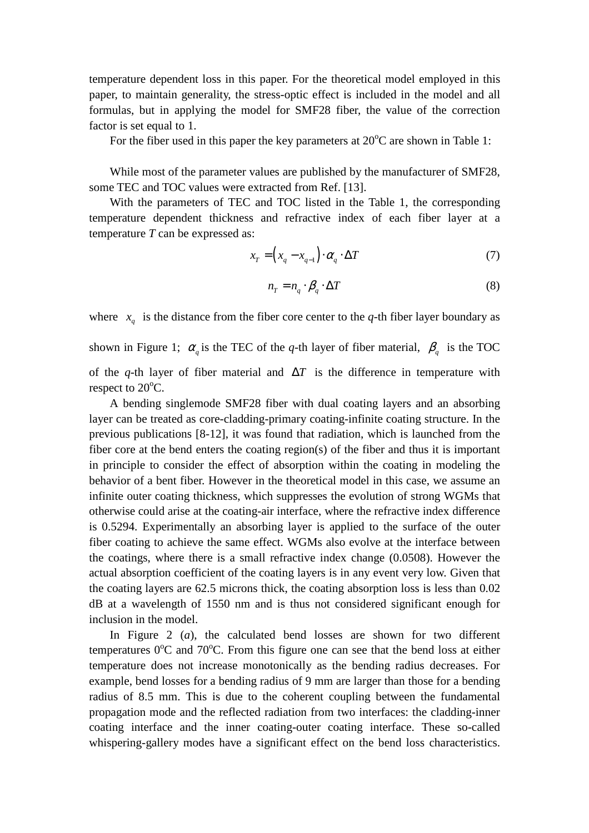temperature dependent loss in this paper. For the theoretical model employed in this paper, to maintain generality, the stress-optic effect is included in the model and all formulas, but in applying the model for SMF28 fiber, the value of the correction factor is set equal to 1.

For the fiber used in this paper the key parameters at  $20^{\circ}$ C are shown in Table 1:

While most of the parameter values are published by the manufacturer of SMF28, some TEC and TOC values were extracted from Ref. [13].

With the parameters of TEC and TOC listed in the Table 1, the corresponding temperature dependent thickness and refractive index of each fiber layer at a temperature *T* can be expressed as:

$$
x_T = (x_q - x_{q-1}) \cdot \alpha_q \cdot \Delta T \tag{7}
$$

$$
n_T = n_q \cdot \beta_q \cdot \Delta T \tag{8}
$$

where  $x_q$  is the distance from the fiber core center to the *q*-th fiber layer boundary as

shown in Figure 1;  $\alpha_q$  is the TEC of the *q*-th layer of fiber material,  $\beta_q$  is the TOC of the *q*-th layer of fiber material and ∆*T* is the difference in temperature with respect to 20<sup>o</sup>C.

A bending singlemode SMF28 fiber with dual coating layers and an absorbing layer can be treated as core-cladding-primary coating-infinite coating structure. In the previous publications [8-12], it was found that radiation, which is launched from the fiber core at the bend enters the coating region(s) of the fiber and thus it is important in principle to consider the effect of absorption within the coating in modeling the behavior of a bent fiber. However in the theoretical model in this case, we assume an infinite outer coating thickness, which suppresses the evolution of strong WGMs that otherwise could arise at the coating-air interface, where the refractive index difference is 0.5294. Experimentally an absorbing layer is applied to the surface of the outer fiber coating to achieve the same effect. WGMs also evolve at the interface between the coatings, where there is a small refractive index change (0.0508). However the actual absorption coefficient of the coating layers is in any event very low. Given that the coating layers are 62.5 microns thick, the coating absorption loss is less than 0.02 dB at a wavelength of 1550 nm and is thus not considered significant enough for inclusion in the model.

In Figure 2 (*a*), the calculated bend losses are shown for two different temperatures  $0^{\circ}$ C and  $70^{\circ}$ C. From this figure one can see that the bend loss at either temperature does not increase monotonically as the bending radius decreases. For example, bend losses for a bending radius of 9 mm are larger than those for a bending radius of 8.5 mm. This is due to the coherent coupling between the fundamental propagation mode and the reflected radiation from two interfaces: the cladding-inner coating interface and the inner coating-outer coating interface. These so-called whispering-gallery modes have a significant effect on the bend loss characteristics.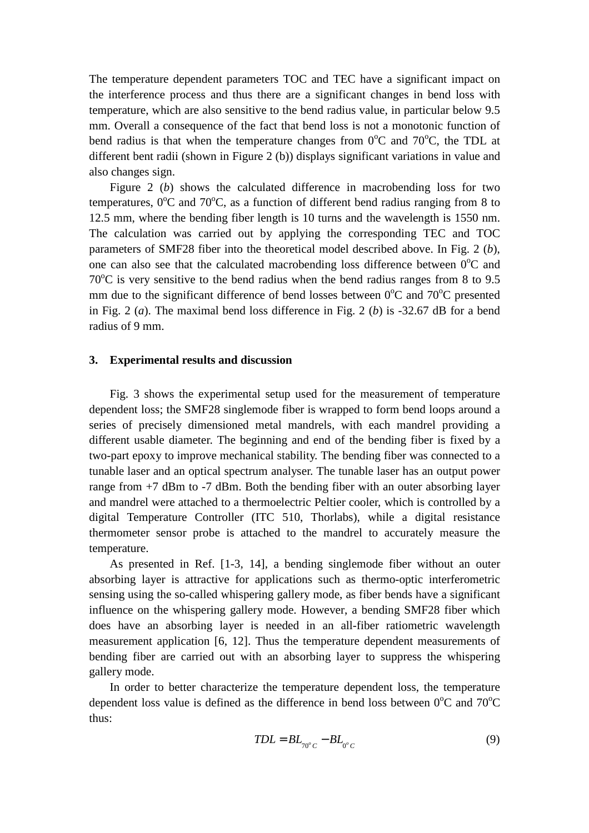The temperature dependent parameters TOC and TEC have a significant impact on the interference process and thus there are a significant changes in bend loss with temperature, which are also sensitive to the bend radius value, in particular below 9.5 mm. Overall a consequence of the fact that bend loss is not a monotonic function of bend radius is that when the temperature changes from  $0^{\circ}$ C and  $70^{\circ}$ C, the TDL at different bent radii (shown in Figure 2 (b)) displays significant variations in value and also changes sign.

Figure 2 (*b*) shows the calculated difference in macrobending loss for two temperatures,  $0^{\circ}$ C and  $70^{\circ}$ C, as a function of different bend radius ranging from 8 to 12.5 mm, where the bending fiber length is 10 turns and the wavelength is 1550 nm. The calculation was carried out by applying the corresponding TEC and TOC parameters of SMF28 fiber into the theoretical model described above. In Fig. 2 (*b*), one can also see that the calculated macrobending loss difference between  $0^{\circ}$ C and  $70^{\circ}$ C is very sensitive to the bend radius when the bend radius ranges from 8 to 9.5 mm due to the significant difference of bend losses between  $0^{\circ}$ C and  $70^{\circ}$ C presented in Fig. 2 (*a*). The maximal bend loss difference in Fig. 2 (*b*) is -32.67 dB for a bend radius of 9 mm.

#### **3. Experimental results and discussion**

Fig. 3 shows the experimental setup used for the measurement of temperature dependent loss; the SMF28 singlemode fiber is wrapped to form bend loops around a series of precisely dimensioned metal mandrels, with each mandrel providing a different usable diameter. The beginning and end of the bending fiber is fixed by a two-part epoxy to improve mechanical stability. The bending fiber was connected to a tunable laser and an optical spectrum analyser. The tunable laser has an output power range from +7 dBm to -7 dBm. Both the bending fiber with an outer absorbing layer and mandrel were attached to a thermoelectric Peltier cooler, which is controlled by a digital Temperature Controller (ITC 510, Thorlabs), while a digital resistance thermometer sensor probe is attached to the mandrel to accurately measure the temperature.

As presented in Ref. [1-3, 14], a bending singlemode fiber without an outer absorbing layer is attractive for applications such as thermo-optic interferometric sensing using the so-called whispering gallery mode, as fiber bends have a significant influence on the whispering gallery mode. However, a bending SMF28 fiber which does have an absorbing layer is needed in an all-fiber ratiometric wavelength measurement application [6, 12]. Thus the temperature dependent measurements of bending fiber are carried out with an absorbing layer to suppress the whispering gallery mode.

In order to better characterize the temperature dependent loss, the temperature dependent loss value is defined as the difference in bend loss between  $0^{\circ}$ C and  $70^{\circ}$ C thus:

$$
TDL = BL_{\gamma_{0^{\circ}C}} - BL_{\gamma_{0^{\circ}C}}
$$
\n<sup>(9)</sup>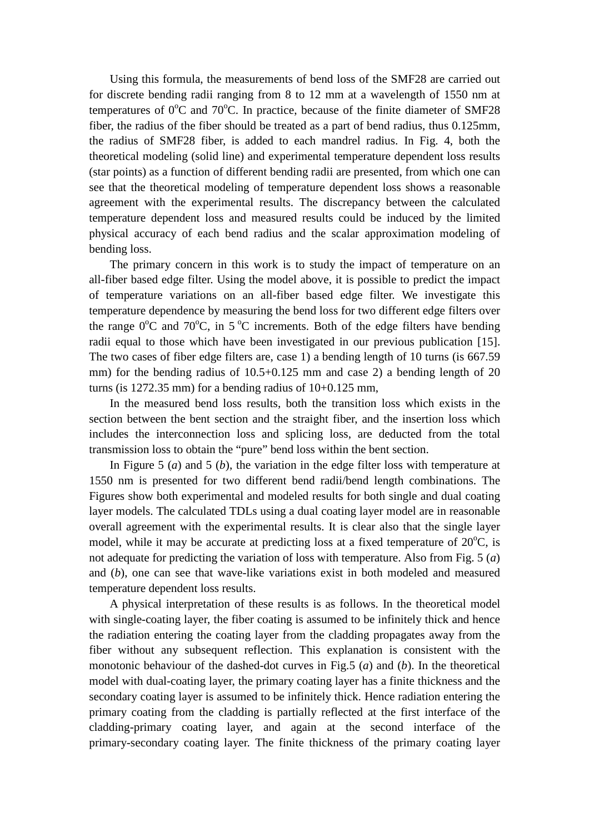Using this formula, the measurements of bend loss of the SMF28 are carried out for discrete bending radii ranging from 8 to 12 mm at a wavelength of 1550 nm at temperatures of  $0^{\circ}$ C and  $70^{\circ}$ C. In practice, because of the finite diameter of SMF28 fiber, the radius of the fiber should be treated as a part of bend radius, thus 0.125mm, the radius of SMF28 fiber, is added to each mandrel radius. In Fig. 4, both the theoretical modeling (solid line) and experimental temperature dependent loss results (star points) as a function of different bending radii are presented, from which one can see that the theoretical modeling of temperature dependent loss shows a reasonable agreement with the experimental results. The discrepancy between the calculated temperature dependent loss and measured results could be induced by the limited physical accuracy of each bend radius and the scalar approximation modeling of bending loss.

The primary concern in this work is to study the impact of temperature on an all-fiber based edge filter. Using the model above, it is possible to predict the impact of temperature variations on an all-fiber based edge filter. We investigate this temperature dependence by measuring the bend loss for two different edge filters over the range  $0^{\circ}$ C and  $70^{\circ}$ C, in 5<sup>o</sup>C increments. Both of the edge filters have bending radii equal to those which have been investigated in our previous publication [15]. The two cases of fiber edge filters are, case 1) a bending length of 10 turns (is 667.59 mm) for the bending radius of  $10.5+0.125$  mm and case 2) a bending length of 20 turns (is  $1272.35$  mm) for a bending radius of  $10+0.125$  mm,

In the measured bend loss results, both the transition loss which exists in the section between the bent section and the straight fiber, and the insertion loss which includes the interconnection loss and splicing loss, are deducted from the total transmission loss to obtain the "pure" bend loss within the bent section.

In Figure 5 (*a*) and 5 (*b*), the variation in the edge filter loss with temperature at 1550 nm is presented for two different bend radii/bend length combinations. The Figures show both experimental and modeled results for both single and dual coating layer models. The calculated TDLs using a dual coating layer model are in reasonable overall agreement with the experimental results. It is clear also that the single layer model, while it may be accurate at predicting loss at a fixed temperature of  $20^{\circ}$ C, is not adequate for predicting the variation of loss with temperature. Also from Fig. 5 (*a*) and (*b*), one can see that wave-like variations exist in both modeled and measured temperature dependent loss results.

A physical interpretation of these results is as follows. In the theoretical model with single-coating layer, the fiber coating is assumed to be infinitely thick and hence the radiation entering the coating layer from the cladding propagates away from the fiber without any subsequent reflection. This explanation is consistent with the monotonic behaviour of the dashed-dot curves in Fig.5 (*a*) and (*b*). In the theoretical model with dual-coating layer, the primary coating layer has a finite thickness and the secondary coating layer is assumed to be infinitely thick. Hence radiation entering the primary coating from the cladding is partially reflected at the first interface of the cladding-primary coating layer, and again at the second interface of the primary-secondary coating layer. The finite thickness of the primary coating layer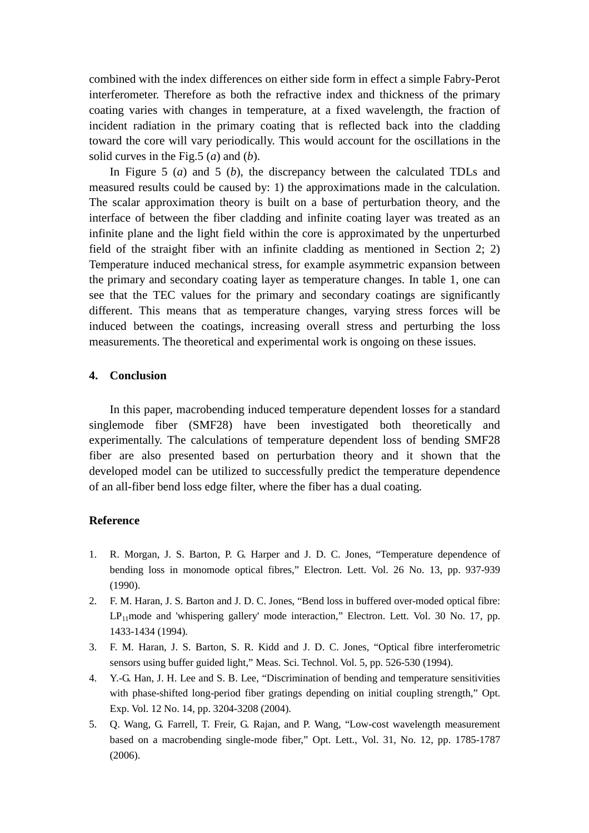combined with the index differences on either side form in effect a simple Fabry-Perot interferometer. Therefore as both the refractive index and thickness of the primary coating varies with changes in temperature, at a fixed wavelength, the fraction of incident radiation in the primary coating that is reflected back into the cladding toward the core will vary periodically. This would account for the oscillations in the solid curves in the Fig.5 (*a*) and (*b*).

In Figure 5 (*a*) and 5 (*b*), the discrepancy between the calculated TDLs and measured results could be caused by: 1) the approximations made in the calculation. The scalar approximation theory is built on a base of perturbation theory, and the interface of between the fiber cladding and infinite coating layer was treated as an infinite plane and the light field within the core is approximated by the unperturbed field of the straight fiber with an infinite cladding as mentioned in Section 2; 2) Temperature induced mechanical stress, for example asymmetric expansion between the primary and secondary coating layer as temperature changes. In table 1, one can see that the TEC values for the primary and secondary coatings are significantly different. This means that as temperature changes, varying stress forces will be induced between the coatings, increasing overall stress and perturbing the loss measurements. The theoretical and experimental work is ongoing on these issues.

#### **4. Conclusion**

In this paper, macrobending induced temperature dependent losses for a standard singlemode fiber (SMF28) have been investigated both theoretically and experimentally. The calculations of temperature dependent loss of bending SMF28 fiber are also presented based on perturbation theory and it shown that the developed model can be utilized to successfully predict the temperature dependence of an all-fiber bend loss edge filter, where the fiber has a dual coating.

#### **Reference**

- 1. R. Morgan, J. S. Barton, P. G. Harper and J. D. C. Jones, "Temperature dependence of bending loss in monomode optical fibres," Electron. Lett. Vol. 26 No. 13, pp. 937-939 (1990).
- 2. F. M. Haran, J. S. Barton and J. D. C. Jones, "Bend loss in buffered over-moded optical fibre:  $LP_{11}$ mode and 'whispering gallery' mode interaction," Electron. Lett. Vol. 30 No. 17, pp. 1433-1434 (1994).
- 3. F. M. Haran, J. S. Barton, S. R. Kidd and J. D. C. Jones, "Optical fibre interferometric sensors using buffer guided light," Meas. Sci. Technol. Vol. 5, pp. 526-530 (1994).
- 4. Y.-G. Han, J. H. Lee and S. B. Lee, "Discrimination of bending and temperature sensitivities with phase-shifted long-period fiber gratings depending on initial coupling strength," Opt. Exp. Vol. 12 No. 14, pp. 3204-3208 (2004).
- 5. Q. Wang, G. Farrell, T. Freir, G. Rajan, and P. Wang, "Low-cost wavelength measurement based on a macrobending single-mode fiber," Opt. Lett., Vol. 31, No. 12, pp. 1785-1787 (2006).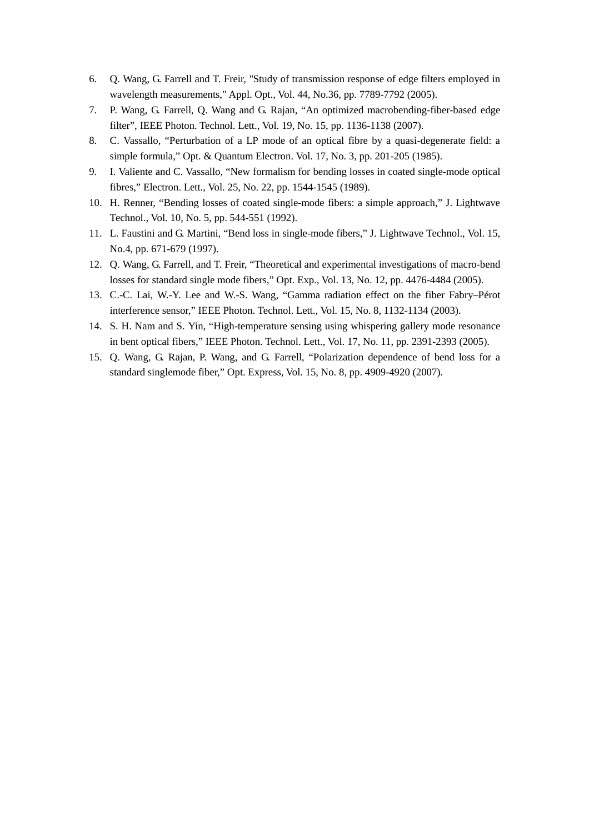- 6. Q. Wang, G. Farrell and T. Freir, "Study of transmission response of edge filters employed in wavelength measurements," Appl. Opt., Vol. 44, No.36, pp. 7789-7792 (2005).
- 7. P. Wang, G. Farrell, Q. Wang and G. Rajan, "An optimized macrobending-fiber-based edge filter", IEEE Photon. Technol. Lett., Vol. 19, No. 15, pp. 1136-1138 (2007).
- 8. C. Vassallo, "Perturbation of a LP mode of an optical fibre by a quasi-degenerate field: a simple formula," Opt. & Quantum Electron. Vol. 17, No. 3, pp. 201-205 (1985).
- 9. I. Valiente and C. Vassallo, "New formalism for bending losses in coated single-mode optical fibres," Electron. Lett., Vol. 25, No. 22, pp. 1544-1545 (1989).
- 10. H. Renner, "Bending losses of coated single-mode fibers: a simple approach," J. Lightwave Technol., Vol. 10, No. 5, pp. 544-551 (1992).
- 11. L. Faustini and G. Martini, "Bend loss in single-mode fibers," J. Lightwave Technol., Vol. 15, No.4, pp. 671-679 (1997).
- 12. Q. Wang, G. Farrell, and T. Freir, "Theoretical and experimental investigations of macro-bend losses for standard single mode fibers," Opt. Exp., Vol. 13, No. 12, pp. 4476-4484 (2005).
- 13. C.-C. Lai, W.-Y. Lee and W.-S. Wang, "Gamma radiation effect on the fiber Fabry–Pérot interference sensor," IEEE Photon. Technol. Lett., Vol. 15, No. 8, 1132-1134 (2003).
- 14. S. H. Nam and S. Yin, "High-temperature sensing using whispering gallery mode resonance in bent optical fibers," IEEE Photon. Technol. Lett., Vol. 17, No. 11, pp. 2391-2393 (2005).
- 15. Q. Wang, G. Rajan, P. Wang, and G. Farrell, "Polarization dependence of bend loss for a standard singlemode fiber," Opt. Express, Vol. 15, No. 8, pp. 4909-4920 (2007).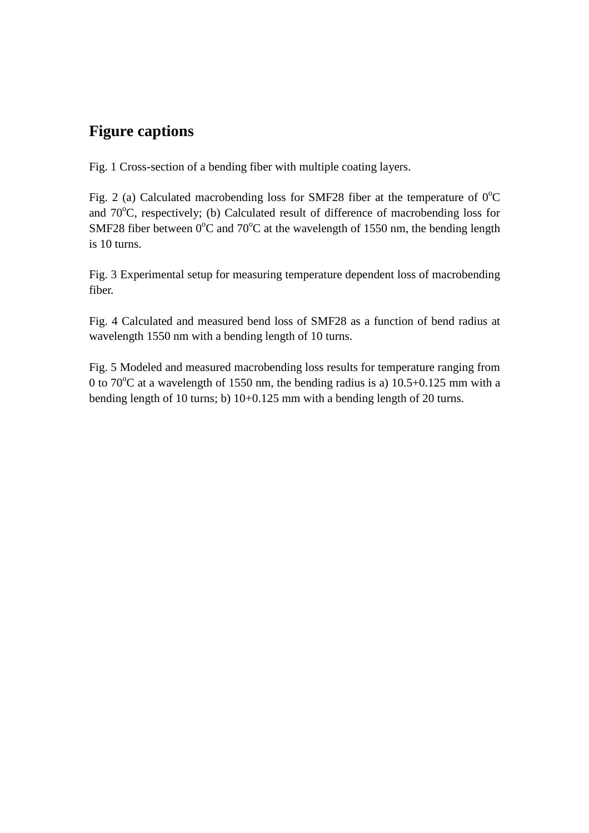### **Figure captions**

Fig. 1 Cross-section of a bending fiber with multiple coating layers.

Fig. 2 (a) Calculated macrobending loss for SMF28 fiber at the temperature of  $0^{\circ}$ C and  $70^{\circ}$ C, respectively; (b) Calculated result of difference of macrobending loss for SMF28 fiber between  $0^{\circ}$ C and  $70^{\circ}$ C at the wavelength of 1550 nm, the bending length is 10 turns.

Fig. 3 Experimental setup for measuring temperature dependent loss of macrobending fiber.

Fig. 4 Calculated and measured bend loss of SMF28 as a function of bend radius at wavelength 1550 nm with a bending length of 10 turns.

Fig. 5 Modeled and measured macrobending loss results for temperature ranging from 0 to 70 $^{\circ}$ C at a wavelength of 1550 nm, the bending radius is a) 10.5+0.125 mm with a bending length of 10 turns; b) 10+0.125 mm with a bending length of 20 turns.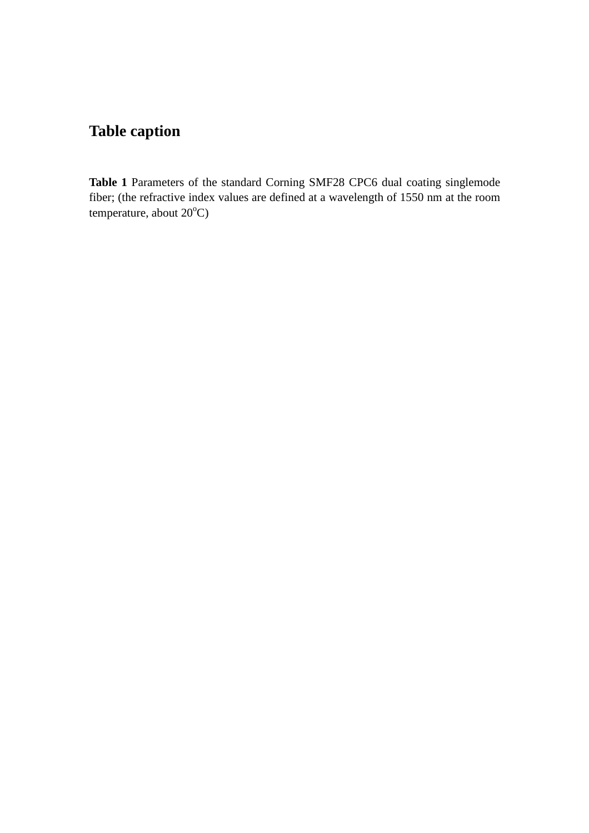### **Table caption**

**Table 1** Parameters of the standard Corning SMF28 CPC6 dual coating singlemode fiber; (the refractive index values are defined at a wavelength of 1550 nm at the room temperature, about  $20^{\circ}$ C)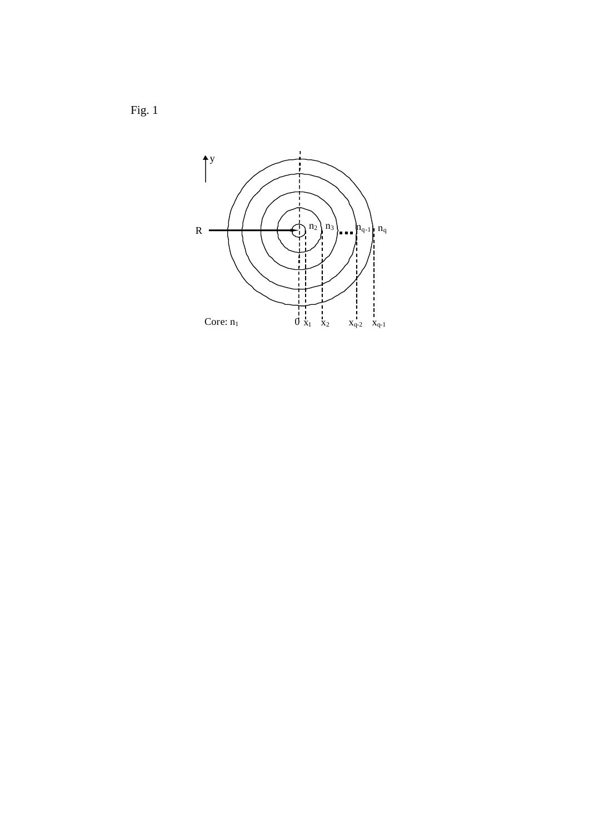Fig. 1

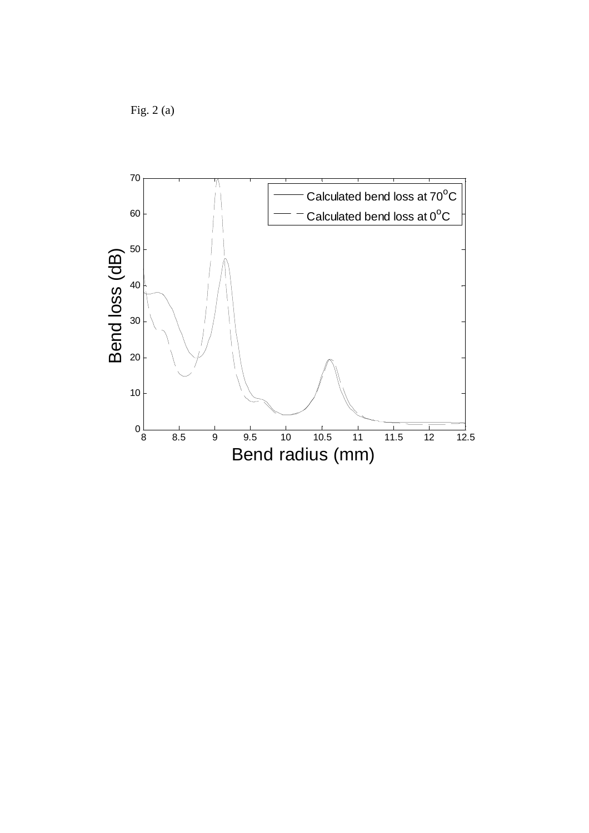Fig. 2 (a)

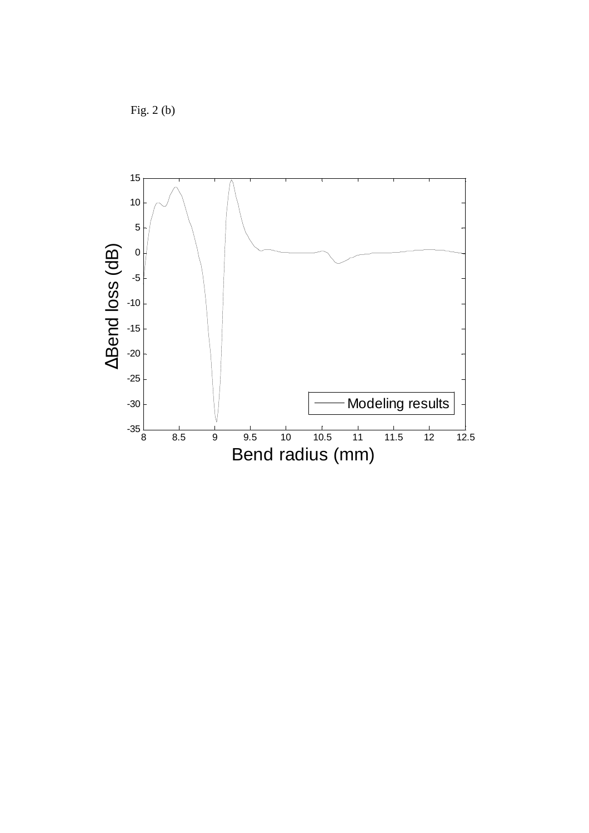Fig. 2 (b)

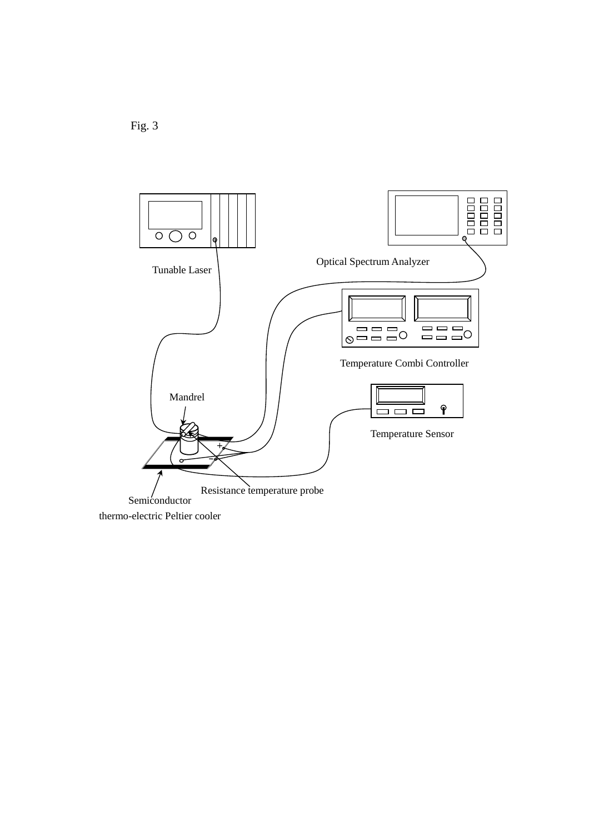

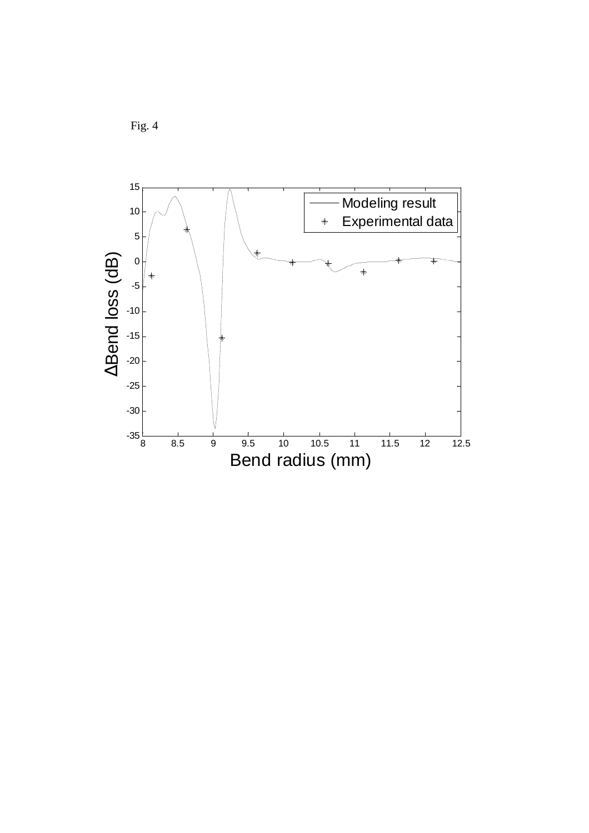

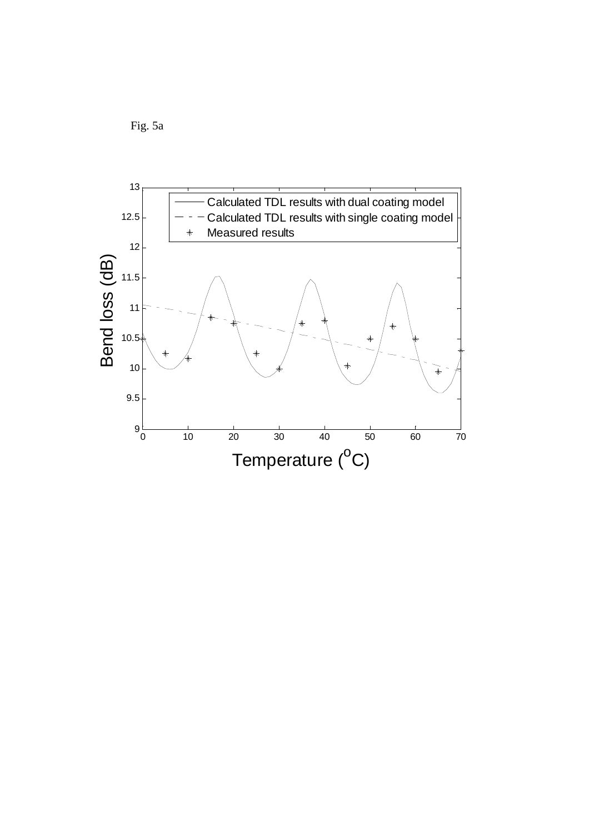Fig. 5a

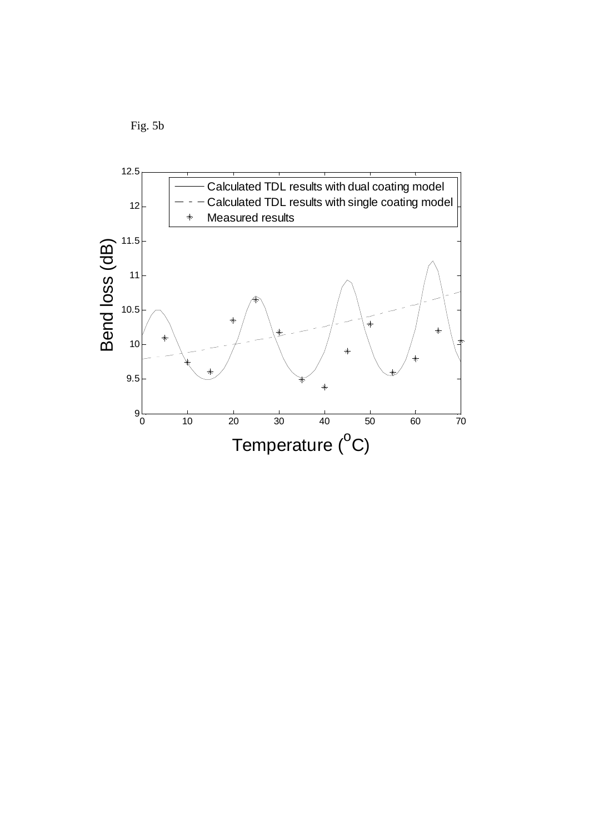